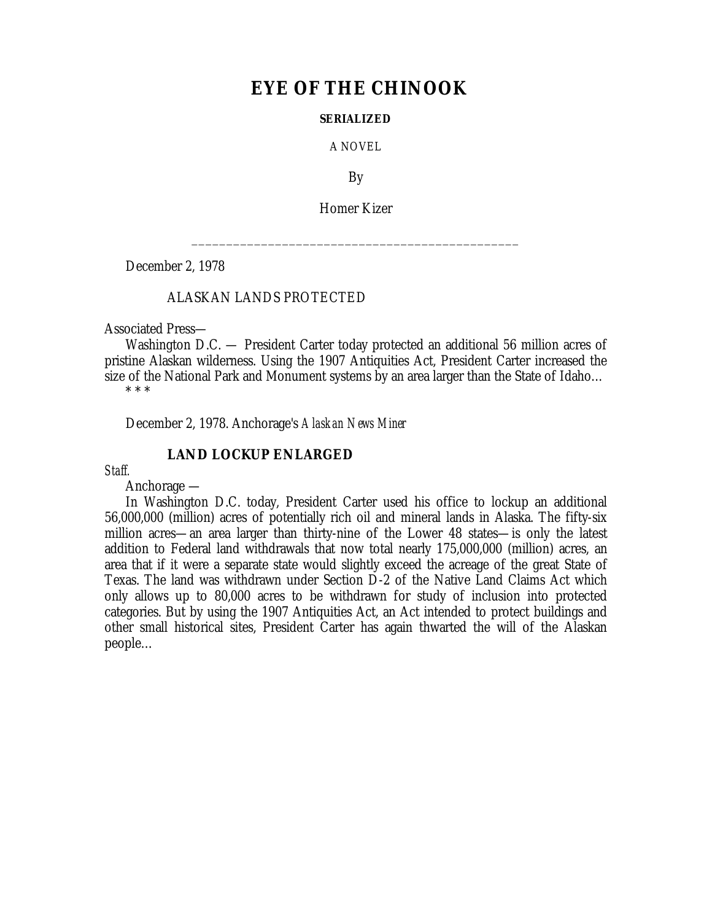# **EYE OF THE CHINOOK**

#### **SERIALIZED**

A NOVEL

By

Homer Kizer

\_\_\_\_\_\_\_\_\_\_\_\_\_\_\_\_\_\_\_\_\_\_\_\_\_\_\_\_\_\_\_\_\_\_\_\_\_\_\_\_\_\_\_\_\_\_\_

December 2, 1978

#### ALASKAN LANDS PROTECTED

Associated Press—

Washington D.C. — President Carter today protected an additional 56 million acres of pristine Alaskan wilderness. Using the 1907 Antiquities Act, President Carter increased the size of the National Park and Monument systems by an area larger than the State of Idaho…

\* \* \*

December 2, 1978. Anchorage's *Alaskan News Miner*

### **LAND LOCKUP ENLARGED**

*Staff.*

Anchorage —

In Washington D.C. today, President Carter used his office to lockup an additional 56,000,000 (million) acres of potentially rich oil and mineral lands in Alaska. The fifty-six million acres— an area larger than thirty-nine of the Lower 48 states— is only the latest addition to Federal land withdrawals that now total nearly 175,000,000 (million) acres, an area that if it were a separate state would slightly exceed the acreage of the great State of Texas. The land was withdrawn under Section D-2 of the Native Land Claims Act which only allows up to 80,000 acres to be withdrawn for study of inclusion into protected categories. But by using the 1907 Antiquities Act, an Act intended to protect buildings and other small historical sites, President Carter has again thwarted the will of the Alaskan people…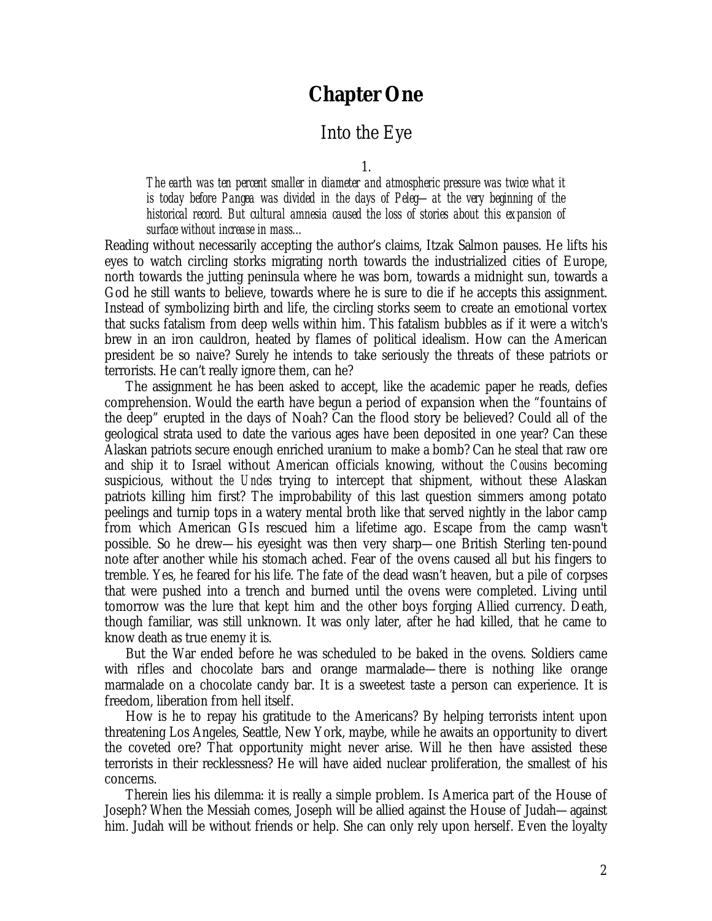# **Chapter One**

## Into the Eye

1.

*The earth was ten percent smaller in diameter and atmospheric pressure was twice what it is today before Pangea was divided in the days of Peleg— at the very beginning of the historical record. But cultural amnesia caused the loss of stories about this expansion of surface without increase in mass…*

Reading without necessarily accepting the author's claims, Itzak Salmon pauses. He lifts his eyes to watch circling storks migrating north towards the industrialized cities of Europe, north towards the jutting peninsula where he was born, towards a midnight sun, towards a God he still wants to believe, towards where he is sure to die if he accepts this assignment. Instead of symbolizing birth and life, the circling storks seem to create an emotional vortex that sucks fatalism from deep wells within him. This fatalism bubbles as if it were a witch's brew in an iron cauldron, heated by flames of political idealism. How can the American president be so naive? Surely he intends to take seriously the threats of these patriots or terrorists. He can't really ignore them, can he?

The assignment he has been asked to accept, like the academic paper he reads, defies comprehension. Would the earth have begun a period of expansion when the "fountains of the deep" erupted in the days of Noah? Can the flood story be believed? Could all of the geological strata used to date the various ages have been deposited in one year? Can these Alaskan patriots secure enough enriched uranium to make a bomb? Can he steal that raw ore and ship it to Israel without American officials knowing, without *the Cousins* becoming suspicious, without *the Uncles* trying to intercept that shipment, without these Alaskan patriots killing him first? The improbability of this last question simmers among potato peelings and turnip tops in a watery mental broth like that served nightly in the labor camp from which American GIs rescued him a lifetime ago. Escape from the camp wasn't possible. So he drew— his eyesight was then very sharp— one British Sterling ten-pound note after another while his stomach ached. Fear of the ovens caused all but his fingers to tremble. Yes, he feared for his life. The fate of the dead wasn't heaven, but a pile of corpses that were pushed into a trench and burned until the ovens were completed. Living until tomorrow was the lure that kept him and the other boys forging Allied currency. Death, though familiar, was still unknown. It was only later, after he had killed, that he came to know death as true enemy it is.

But the War ended before he was scheduled to be baked in the ovens. Soldiers came with rifles and chocolate bars and orange marmalade— there is nothing like orange marmalade on a chocolate candy bar. It is a sweetest taste a person can experience. It is freedom, liberation from hell itself.

How is he to repay his gratitude to the Americans? By helping terrorists intent upon threatening Los Angeles, Seattle, New York, maybe, while he awaits an opportunity to divert the coveted ore? That opportunity might never arise. Will he then have assisted these terrorists in their recklessness? He will have aided nuclear proliferation, the smallest of his concerns.

Therein lies his dilemma: it is really a simple problem. Is America part of the House of Joseph? When the Messiah comes, Joseph will be allied against the House of Judah— against him. Judah will be without friends or help. She can only rely upon herself. Even the loyalty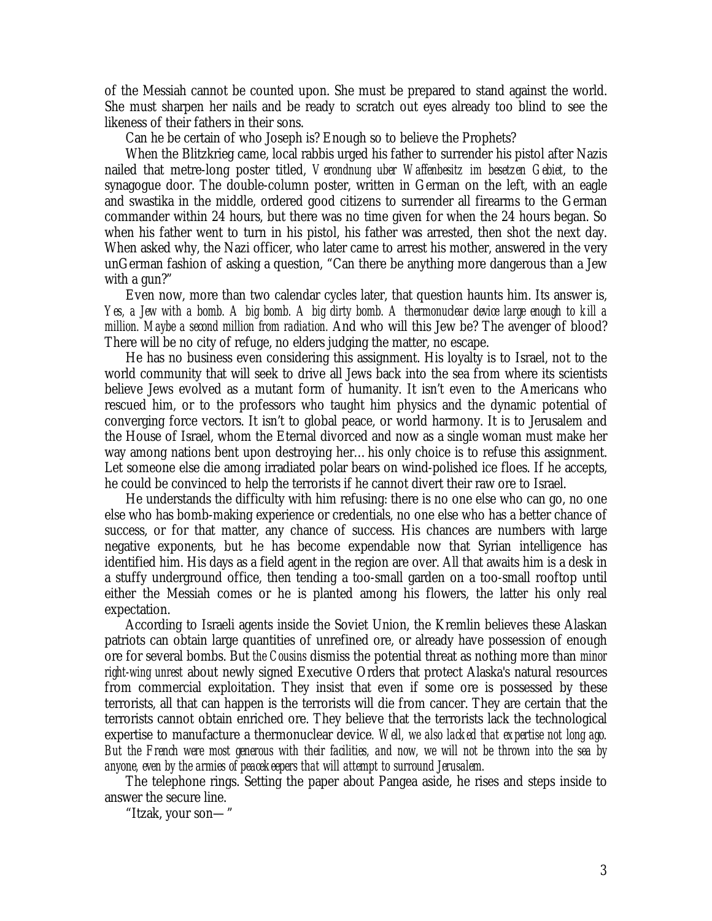of the Messiah cannot be counted upon. She must be prepared to stand against the world. She must sharpen her nails and be ready to scratch out eyes already too blind to see the likeness of their fathers in their sons.

Can he be certain of who Joseph is? Enough so to believe the Prophets?

When the Blitzkrieg came, local rabbis urged his father to surrender his pistol after Nazis nailed that metre-long poster titled, *Verondnung uber Waffenbesitz im besetzen Gebiet*, to the synagogue door. The double-column poster, written in German on the left, with an eagle and swastika in the middle, ordered good citizens to surrender all firearms to the German commander within 24 hours, but there was no time given for when the 24 hours began. So when his father went to turn in his pistol, his father was arrested, then shot the next day. When asked why, the Nazi officer, who later came to arrest his mother, answered in the very unGerman fashion of asking a question, "Can there be anything more dangerous than a Jew with a gun?"

Even now, more than two calendar cycles later, that question haunts him. Its answer is, *Yes, a Jew with a bomb. A big bomb. A big dirty bomb. A thermonuclear device large enough to kill a million. Maybe a second million from radiation.* And who will this Jew be? The avenger of blood? There will be no city of refuge, no elders judging the matter, no escape.

He has no business even considering this assignment. His loyalty is to Israel, not to the world community that will seek to drive all Jews back into the sea from where its scientists believe Jews evolved as a mutant form of humanity. It isn't even to the Americans who rescued him, or to the professors who taught him physics and the dynamic potential of converging force vectors. It isn't to global peace, or world harmony. It is to Jerusalem and the House of Israel, whom the Eternal divorced and now as a single woman must make her way among nations bent upon destroying her… his only choice is to refuse this assignment. Let someone else die among irradiated polar bears on wind-polished ice floes. If he accepts, he could be convinced to help the terrorists if he cannot divert their raw ore to Israel.

He understands the difficulty with him refusing: there is no one else who can go, no one else who has bomb-making experience or credentials, no one else who has a better chance of success, or for that matter, any chance of success. His chances are numbers with large negative exponents, but he has become expendable now that Syrian intelligence has identified him. His days as a field agent in the region are over. All that awaits him is a desk in a stuffy underground office, then tending a too-small garden on a too-small rooftop until either the Messiah comes or he is planted among his flowers, the latter his only real expectation.

According to Israeli agents inside the Soviet Union, the Kremlin believes these Alaskan patriots can obtain large quantities of unrefined ore, or already have possession of enough ore for several bombs. But *the Cousins* dismiss the potential threat as nothing more than *minor right-wing unrest* about newly signed Executive Orders that protect Alaska's natural resources from commercial exploitation. They insist that even if some ore is possessed by these terrorists, all that can happen is the terrorists will die from cancer. They are certain that the terrorists cannot obtain enriched ore. They believe that the terrorists lack the technological expertise to manufacture a thermonuclear device*. Well, we also lacked that expertise not long ago. But the French were most generous with their facilities, and now, we will not be thrown into the sea by anyone, even by the armies of peacekeepers that will attempt to surround Jerusalem.*

The telephone rings. Setting the paper about Pangea aside, he rises and steps inside to answer the secure line.

"Itzak, your son— "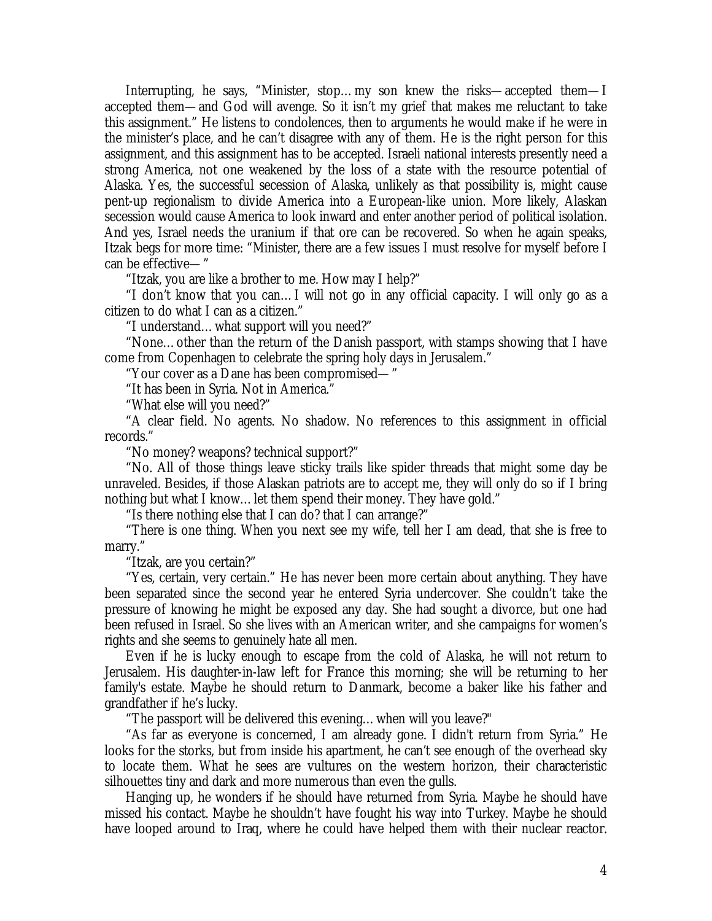Interrupting, he says, "Minister, stop… my son knew the risks— accepted them— I accepted them— and God will avenge. So it isn't my grief that makes me reluctant to take this assignment." He listens to condolences, then to arguments he would make if he were in the minister's place, and he can't disagree with any of them. He is the right person for this assignment, and this assignment has to be accepted. Israeli national interests presently need a strong America, not one weakened by the loss of a state with the resource potential of Alaska. Yes, the successful secession of Alaska, unlikely as that possibility is, might cause pent-up regionalism to divide America into a European-like union. More likely, Alaskan secession would cause America to look inward and enter another period of political isolation. And yes, Israel needs the uranium if that ore can be recovered. So when he again speaks, Itzak begs for more time: "Minister, there are a few issues I must resolve for myself before I can be effective— "

"Itzak, you are like a brother to me. How may I help?"

"I don't know that you can… I will not go in any official capacity. I will only go as a citizen to do what I can as a citizen."

"I understand… what support will you need?"

"None… other than the return of the Danish passport, with stamps showing that I have come from Copenhagen to celebrate the spring holy days in Jerusalem."

"Your cover as a Dane has been compromised— "

"It has been in Syria. Not in America."

"What else will you need?"

"A clear field. No agents. No shadow. No references to this assignment in official records."

"No money? weapons? technical support?"

"No. All of those things leave sticky trails like spider threads that might some day be unraveled. Besides, if those Alaskan patriots are to accept me, they will only do so if I bring nothing but what I know… let them spend their money. They have gold."

"Is there nothing else that I can do? that I can arrange?"

"There is one thing. When you next see my wife, tell her I am dead, that she is free to marry."

"Itzak, are you certain?"

"Yes, certain, very certain." He has never been more certain about anything. They have been separated since the second year he entered Syria undercover. She couldn't take the pressure of knowing he might be exposed any day. She had sought a divorce, but one had been refused in Israel. So she lives with an American writer, and she campaigns for women's rights and she seems to genuinely hate all men.

Even if he is lucky enough to escape from the cold of Alaska, he will not return to Jerusalem. His daughter-in-law left for France this morning; she will be returning to her family's estate. Maybe he should return to Danmark, become a baker like his father and grandfather if he's lucky.

"The passport will be delivered this evening… when will you leave?"

"As far as everyone is concerned, I am already gone. I didn't return from Syria." He looks for the storks, but from inside his apartment, he can't see enough of the overhead sky to locate them. What he sees are vultures on the western horizon, their characteristic silhouettes tiny and dark and more numerous than even the gulls.

Hanging up, he wonders if he should have returned from Syria. Maybe he should have missed his contact. Maybe he shouldn't have fought his way into Turkey. Maybe he should have looped around to Iraq, where he could have helped them with their nuclear reactor.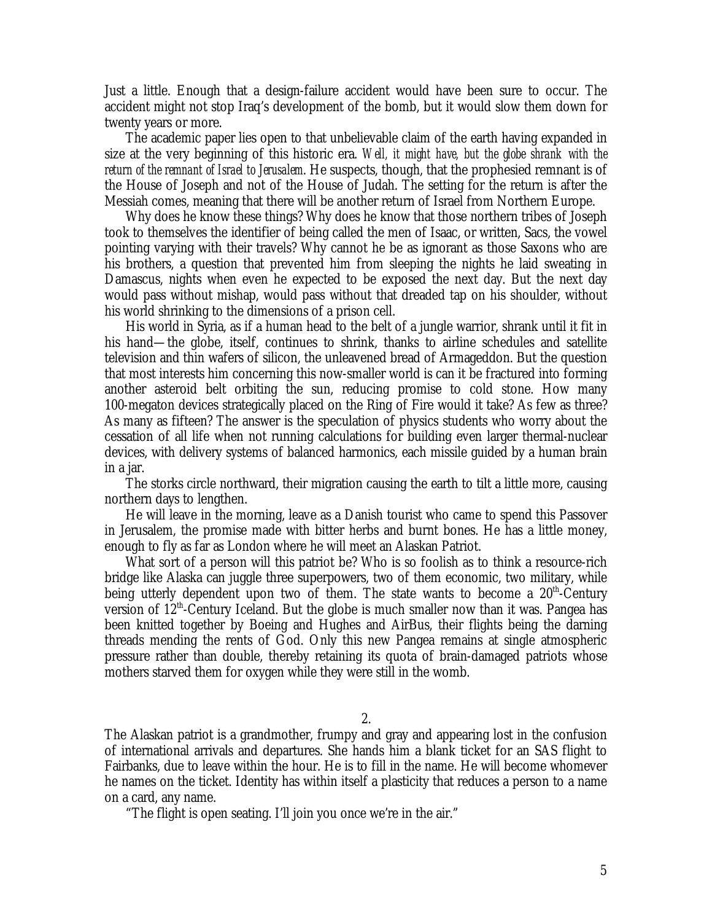Just a little. Enough that a design-failure accident would have been sure to occur. The accident might not stop Iraq's development of the bomb, but it would slow them down for twenty years or more.

The academic paper lies open to that unbelievable claim of the earth having expanded in size at the very beginning of this historic era. *Well, it might have, but the globe shrank with the return of the remnant of Israel to Jerusalem*. He suspects, though, that the prophesied remnant is of the House of Joseph and not of the House of Judah. The setting for the return is after the Messiah comes, meaning that there will be another return of Israel from Northern Europe.

Why does he know these things? Why does he know that those northern tribes of Joseph took to themselves the identifier of being called the men of Isaac, or written, Sacs, the vowel pointing varying with their travels? Why cannot he be as ignorant as those Saxons who are his brothers, a question that prevented him from sleeping the nights he laid sweating in Damascus, nights when even he expected to be exposed the next day. But the next day would pass without mishap, would pass without that dreaded tap on his shoulder, without his world shrinking to the dimensions of a prison cell.

His world in Syria, as if a human head to the belt of a jungle warrior, shrank until it fit in his hand— the globe, itself, continues to shrink, thanks to airline schedules and satellite television and thin wafers of silicon, the unleavened bread of Armageddon. But the question that most interests him concerning this now-smaller world is can it be fractured into forming another asteroid belt orbiting the sun, reducing promise to cold stone. How many 100-megaton devices strategically placed on the Ring of Fire would it take? As few as three? As many as fifteen? The answer is the speculation of physics students who worry about the cessation of all life when not running calculations for building even larger thermal-nuclear devices, with delivery systems of balanced harmonics, each missile guided by a human brain in a jar.

The storks circle northward, their migration causing the earth to tilt a little more, causing northern days to lengthen.

He will leave in the morning, leave as a Danish tourist who came to spend this Passover in Jerusalem, the promise made with bitter herbs and burnt bones. He has a little money, enough to fly as far as London where he will meet an Alaskan Patriot.

What sort of a person will this patriot be? Who is so foolish as to think a resource-rich bridge like Alaska can juggle three superpowers, two of them economic, two military, while being utterly dependent upon two of them. The state wants to become a  $20<sup>th</sup>$ -Century version of  $12<sup>th</sup>$ -Century Iceland. But the globe is much smaller now than it was. Pangea has been knitted together by Boeing and Hughes and AirBus, their flights being the darning threads mending the rents of God. Only this new Pangea remains at single atmospheric pressure rather than double, thereby retaining its quota of brain-damaged patriots whose mothers starved them for oxygen while they were still in the womb.

2.

The Alaskan patriot is a grandmother, frumpy and gray and appearing lost in the confusion of international arrivals and departures. She hands him a blank ticket for an SAS flight to Fairbanks, due to leave within the hour. He is to fill in the name. He will become whomever he names on the ticket. Identity has within itself a plasticity that reduces a person to a name on a card, any name.

"The flight is open seating. I'll join you once we're in the air."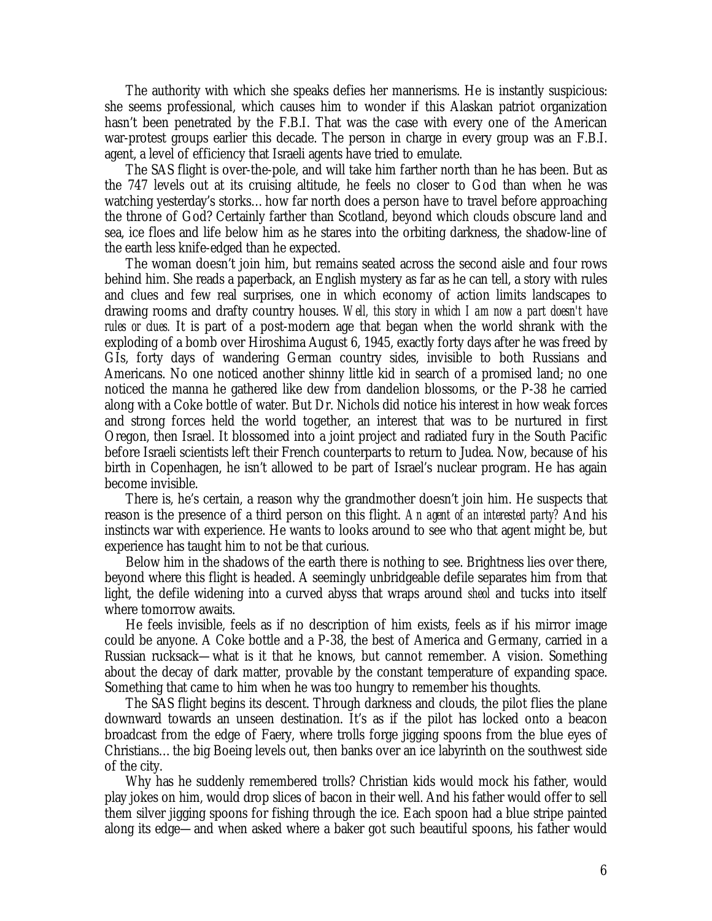The authority with which she speaks defies her mannerisms. He is instantly suspicious: she seems professional, which causes him to wonder if this Alaskan patriot organization hasn't been penetrated by the F.B.I. That was the case with every one of the American war-protest groups earlier this decade. The person in charge in every group was an F.B.I. agent, a level of efficiency that Israeli agents have tried to emulate.

The SAS flight is over-the-pole, and will take him farther north than he has been. But as the 747 levels out at its cruising altitude, he feels no closer to God than when he was watching yesterday's storks… how far north does a person have to travel before approaching the throne of God? Certainly farther than Scotland, beyond which clouds obscure land and sea, ice floes and life below him as he stares into the orbiting darkness, the shadow-line of the earth less knife-edged than he expected.

The woman doesn't join him, but remains seated across the second aisle and four rows behind him. She reads a paperback, an English mystery as far as he can tell, a story with rules and clues and few real surprises, one in which economy of action limits landscapes to drawing rooms and drafty country houses. *Well, this story in which I am now a part doesn't have rules or clues.* It is part of a post-modern age that began when the world shrank with the exploding of a bomb over Hiroshima August 6, 1945, exactly forty days after he was freed by GIs, forty days of wandering German country sides, invisible to both Russians and Americans. No one noticed another shinny little kid in search of a promised land; no one noticed the manna he gathered like dew from dandelion blossoms, or the P-38 he carried along with a Coke bottle of water. But Dr. Nichols did notice his interest in how weak forces and strong forces held the world together, an interest that was to be nurtured in first Oregon, then Israel. It blossomed into a joint project and radiated fury in the South Pacific before Israeli scientists left their French counterparts to return to Judea. Now, because of his birth in Copenhagen, he isn't allowed to be part of Israel's nuclear program. He has again become invisible.

There is, he's certain, a reason why the grandmother doesn't join him. He suspects that reason is the presence of a third person on this flight. *An agent of an interested party?* And his instincts war with experience. He wants to looks around to see who that agent might be, but experience has taught him to not be that curious.

Below him in the shadows of the earth there is nothing to see. Brightness lies over there, beyond where this flight is headed. A seemingly unbridgeable defile separates him from that light, the defile widening into a curved abyss that wraps around *sheol* and tucks into itself where tomorrow awaits.

He feels invisible, feels as if no description of him exists, feels as if his mirror image could be anyone. A Coke bottle and a P-38, the best of America and Germany, carried in a Russian rucksack— what is it that he knows, but cannot remember. A vision. Something about the decay of dark matter, provable by the constant temperature of expanding space. Something that came to him when he was too hungry to remember his thoughts.

The SAS flight begins its descent. Through darkness and clouds, the pilot flies the plane downward towards an unseen destination. It's as if the pilot has locked onto a beacon broadcast from the edge of Faery, where trolls forge jigging spoons from the blue eyes of Christians… the big Boeing levels out, then banks over an ice labyrinth on the southwest side of the city.

Why has he suddenly remembered trolls? Christian kids would mock his father, would play jokes on him, would drop slices of bacon in their well. And his father would offer to sell them silver jigging spoons for fishing through the ice. Each spoon had a blue stripe painted along its edge— and when asked where a baker got such beautiful spoons, his father would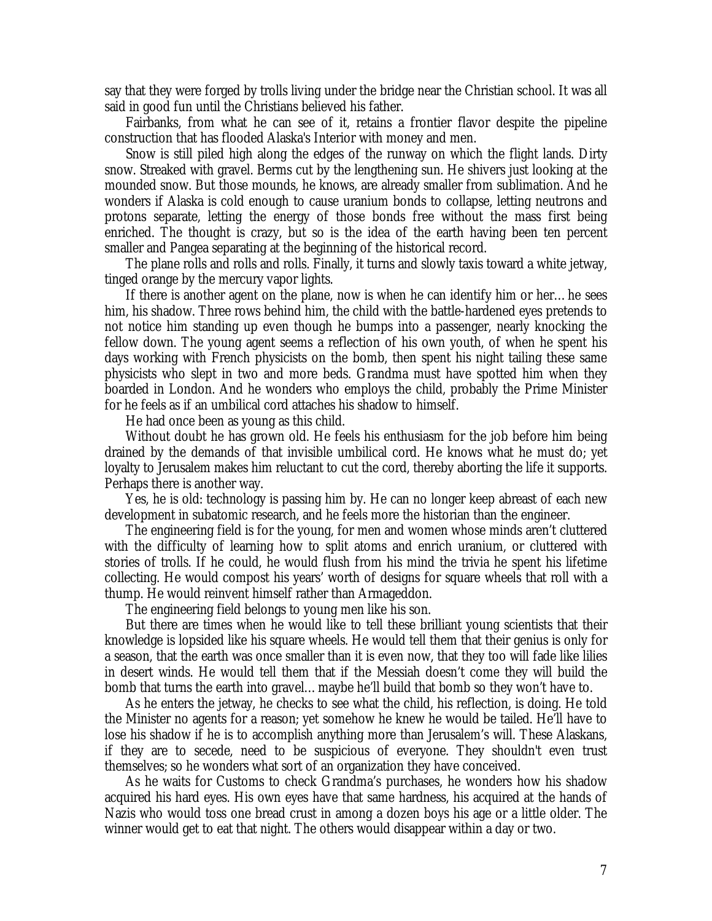say that they were forged by trolls living under the bridge near the Christian school. It was all said in good fun until the Christians believed his father.

Fairbanks, from what he can see of it, retains a frontier flavor despite the pipeline construction that has flooded Alaska's Interior with money and men.

Snow is still piled high along the edges of the runway on which the flight lands. Dirty snow. Streaked with gravel. Berms cut by the lengthening sun. He shivers just looking at the mounded snow. But those mounds, he knows, are already smaller from sublimation. And he wonders if Alaska is cold enough to cause uranium bonds to collapse, letting neutrons and protons separate, letting the energy of those bonds free without the mass first being enriched. The thought is crazy, but so is the idea of the earth having been ten percent smaller and Pangea separating at the beginning of the historical record.

The plane rolls and rolls and rolls. Finally, it turns and slowly taxis toward a white jetway, tinged orange by the mercury vapor lights.

If there is another agent on the plane, now is when he can identify him or her… he sees him, his shadow. Three rows behind him, the child with the battle-hardened eyes pretends to not notice him standing up even though he bumps into a passenger, nearly knocking the fellow down. The young agent seems a reflection of his own youth, of when he spent his days working with French physicists on the bomb, then spent his night tailing these same physicists who slept in two and more beds. Grandma must have spotted him when they boarded in London. And he wonders who employs the child, probably the Prime Minister for he feels as if an umbilical cord attaches his shadow to himself.

He had once been as young as this child.

Without doubt he has grown old. He feels his enthusiasm for the job before him being drained by the demands of that invisible umbilical cord. He knows what he must do; yet loyalty to Jerusalem makes him reluctant to cut the cord, thereby aborting the life it supports. Perhaps there is another way.

Yes, he is old: technology is passing him by. He can no longer keep abreast of each new development in subatomic research, and he feels more the historian than the engineer.

The engineering field is for the young, for men and women whose minds aren't cluttered with the difficulty of learning how to split atoms and enrich uranium, or cluttered with stories of trolls. If he could, he would flush from his mind the trivia he spent his lifetime collecting. He would compost his years' worth of designs for square wheels that roll with a thump. He would reinvent himself rather than Armageddon.

The engineering field belongs to young men like his son.

But there are times when he would like to tell these brilliant young scientists that their knowledge is lopsided like his square wheels. He would tell them that their genius is only for a season, that the earth was once smaller than it is even now, that they too will fade like lilies in desert winds. He would tell them that if the Messiah doesn't come they will build the bomb that turns the earth into gravel… maybe he'll build that bomb so they won't have to.

As he enters the jetway, he checks to see what the child, his reflection, is doing. He told the Minister no agents for a reason; yet somehow he knew he would be tailed. He'll have to lose his shadow if he is to accomplish anything more than Jerusalem's will. These Alaskans, if they are to secede, need to be suspicious of everyone. They shouldn't even trust themselves; so he wonders what sort of an organization they have conceived.

As he waits for Customs to check Grandma's purchases, he wonders how his shadow acquired his hard eyes. His own eyes have that same hardness, his acquired at the hands of Nazis who would toss one bread crust in among a dozen boys his age or a little older. The winner would get to eat that night. The others would disappear within a day or two.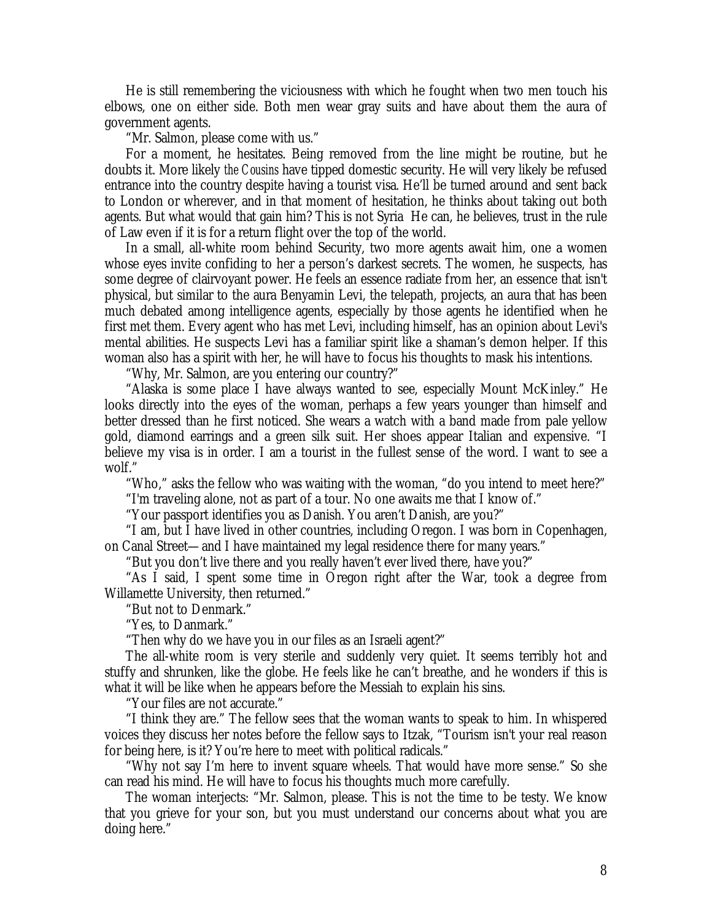He is still remembering the viciousness with which he fought when two men touch his elbows, one on either side. Both men wear gray suits and have about them the aura of government agents.

"Mr. Salmon, please come with us."

For a moment, he hesitates. Being removed from the line might be routine, but he doubts it. More likely *the Cousins* have tipped domestic security. He will very likely be refused entrance into the country despite having a tourist visa. He'll be turned around and sent back to London or wherever, and in that moment of hesitation, he thinks about taking out both agents. But what would that gain him? This is not Syria He can, he believes, trust in the rule of Law even if it is for a return flight over the top of the world.

In a small, all-white room behind Security, two more agents await him, one a women whose eyes invite confiding to her a person's darkest secrets. The women, he suspects, has some degree of clairvoyant power. He feels an essence radiate from her, an essence that isn't physical, but similar to the aura Benyamin Levi, the telepath, projects, an aura that has been much debated among intelligence agents, especially by those agents he identified when he first met them. Every agent who has met Levi, including himself, has an opinion about Levi's mental abilities. He suspects Levi has a familiar spirit like a shaman's demon helper. If this woman also has a spirit with her, he will have to focus his thoughts to mask his intentions.

"Why, Mr. Salmon, are you entering our country?"

"Alaska is some place I have always wanted to see, especially Mount McKinley." He looks directly into the eyes of the woman, perhaps a few years younger than himself and better dressed than he first noticed. She wears a watch with a band made from pale yellow gold, diamond earrings and a green silk suit. Her shoes appear Italian and expensive. "I believe my visa is in order. I am a tourist in the fullest sense of the word. I want to see a wolf."

"Who," asks the fellow who was waiting with the woman, "do you intend to meet here?"

"I'm traveling alone, not as part of a tour. No one awaits me that I know of."

"Your passport identifies you as Danish. You aren't Danish, are you?"

"I am, but I have lived in other countries, including Oregon. I was born in Copenhagen, on Canal Street— and I have maintained my legal residence there for many years."

"But you don't live there and you really haven't ever lived there, have you?"

"As I said, I spent some time in Oregon right after the War, took a degree from Willamette University, then returned."

"But not to Denmark."

"Yes, to Danmark."

"Then why do we have you in our files as an Israeli agent?"

The all-white room is very sterile and suddenly very quiet. It seems terribly hot and stuffy and shrunken, like the globe. He feels like he can't breathe, and he wonders if this is what it will be like when he appears before the Messiah to explain his sins.

"Your files are not accurate."

"I think they are." The fellow sees that the woman wants to speak to him. In whispered voices they discuss her notes before the fellow says to Itzak, "Tourism isn't your real reason for being here, is it? You're here to meet with political radicals."

"Why not say I'm here to invent square wheels. That would have more sense." So she can read his mind. He will have to focus his thoughts much more carefully.

The woman interjects: "Mr. Salmon, please. This is not the time to be testy. We know that you grieve for your son, but you must understand our concerns about what you are doing here."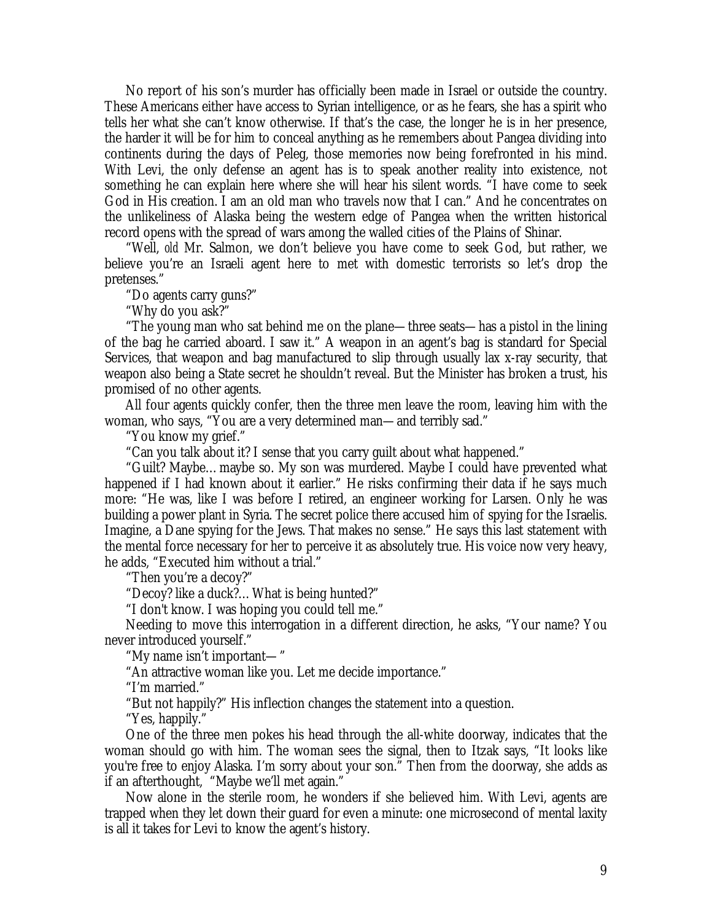No report of his son's murder has officially been made in Israel or outside the country. These Americans either have access to Syrian intelligence, or as he fears, she has a spirit who tells her what she can't know otherwise. If that's the case, the longer he is in her presence, the harder it will be for him to conceal anything as he remembers about Pangea dividing into continents during the days of Peleg, those memories now being forefronted in his mind. With Levi, the only defense an agent has is to speak another reality into existence, not something he can explain here where she will hear his silent words. "I have come to seek God in His creation. I am an old man who travels now that I can." And he concentrates on the unlikeliness of Alaska being the western edge of Pangea when the written historical record opens with the spread of wars among the walled cities of the Plains of Shinar.

"Well, *old* Mr. Salmon, we don't believe you have come to seek God, but rather, we believe you're an Israeli agent here to met with domestic terrorists so let's drop the pretenses."

"Do agents carry guns?"

"Why do you ask?"

"The young man who sat behind me on the plane— three seats— has a pistol in the lining of the bag he carried aboard. I saw it." A weapon in an agent's bag is standard for Special Services, that weapon and bag manufactured to slip through usually lax x-ray security, that weapon also being a State secret he shouldn't reveal. But the Minister has broken a trust, his promised of no other agents.

All four agents quickly confer, then the three men leave the room, leaving him with the woman, who says, "You are a very determined man— and terribly sad."

"You know my grief."

"Can you talk about it? I sense that you carry guilt about what happened."

"Guilt? Maybe… maybe so. My son was murdered. Maybe I could have prevented what happened if I had known about it earlier." He risks confirming their data if he says much more: "He was, like I was before I retired, an engineer working for Larsen. Only he was building a power plant in Syria. The secret police there accused him of spying for the Israelis. Imagine, a Dane spying for the Jews. That makes no sense." He says this last statement with the mental force necessary for her to perceive it as absolutely true. His voice now very heavy, he adds, "Executed him without a trial."

"Then you're a decoy?"

"Decoy? like a duck?… What is being hunted?"

"I don't know. I was hoping you could tell me."

Needing to move this interrogation in a different direction, he asks, "Your name? You never introduced yourself."

"My name isn't important— "

"An attractive woman like you. Let me decide importance."

"I'm married."

"But not happily?" His inflection changes the statement into a question.

"Yes, happily."

One of the three men pokes his head through the all-white doorway, indicates that the woman should go with him. The woman sees the signal, then to Itzak says, "It looks like you're free to enjoy Alaska. I'm sorry about your son." Then from the doorway, she adds as if an afterthought, "Maybe we'll met again."

Now alone in the sterile room, he wonders if she believed him. With Levi, agents are trapped when they let down their guard for even a minute: one microsecond of mental laxity is all it takes for Levi to know the agent's history.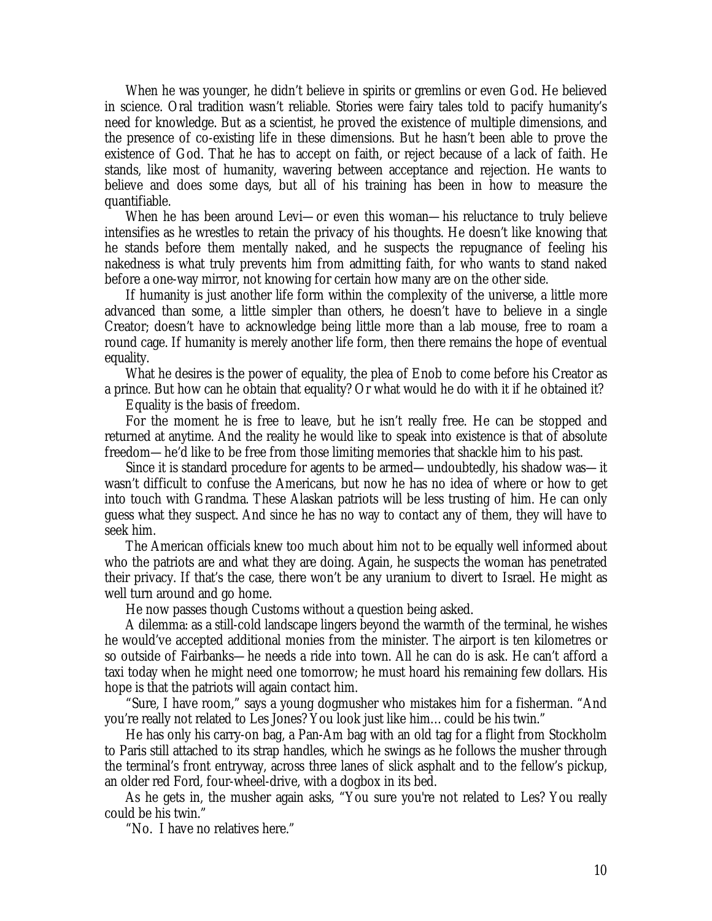When he was younger, he didn't believe in spirits or gremlins or even God. He believed in science. Oral tradition wasn't reliable. Stories were fairy tales told to pacify humanity's need for knowledge. But as a scientist, he proved the existence of multiple dimensions, and the presence of co-existing life in these dimensions. But he hasn't been able to prove the existence of God. That he has to accept on faith, or reject because of a lack of faith. He stands, like most of humanity, wavering between acceptance and rejection. He wants to believe and does some days, but all of his training has been in how to measure the quantifiable.

When he has been around Levi— or even this woman— his reluctance to truly believe intensifies as he wrestles to retain the privacy of his thoughts. He doesn't like knowing that he stands before them mentally naked, and he suspects the repugnance of feeling his nakedness is what truly prevents him from admitting faith, for who wants to stand naked before a one-way mirror, not knowing for certain how many are on the other side.

If humanity is just another life form within the complexity of the universe, a little more advanced than some, a little simpler than others, he doesn't have to believe in a single Creator; doesn't have to acknowledge being little more than a lab mouse, free to roam a round cage. If humanity is merely another life form, then there remains the hope of eventual equality.

What he desires is the power of equality, the plea of Enob to come before his Creator as a prince. But how can he obtain that equality? Or what would he do with it if he obtained it?

Equality is the basis of freedom.

For the moment he is free to leave, but he isn't really free. He can be stopped and returned at anytime. And the reality he would like to speak into existence is that of absolute freedom— he'd like to be free from those limiting memories that shackle him to his past.

Since it is standard procedure for agents to be armed— undoubtedly, his shadow was— it wasn't difficult to confuse the Americans, but now he has no idea of where or how to get into touch with Grandma. These Alaskan patriots will be less trusting of him. He can only guess what they suspect. And since he has no way to contact any of them, they will have to seek him.

The American officials knew too much about him not to be equally well informed about who the patriots are and what they are doing. Again, he suspects the woman has penetrated their privacy. If that's the case, there won't be any uranium to divert to Israel. He might as well turn around and go home.

He now passes though Customs without a question being asked.

A dilemma: as a still-cold landscape lingers beyond the warmth of the terminal, he wishes he would've accepted additional monies from the minister. The airport is ten kilometres or so outside of Fairbanks— he needs a ride into town. All he can do is ask. He can't afford a taxi today when he might need one tomorrow; he must hoard his remaining few dollars. His hope is that the patriots will again contact him.

"Sure, I have room," says a young dogmusher who mistakes him for a fisherman. "And you're really not related to Les Jones? You look just like him… could be his twin."

He has only his carry-on bag, a Pan-Am bag with an old tag for a flight from Stockholm to Paris still attached to its strap handles, which he swings as he follows the musher through the terminal's front entryway, across three lanes of slick asphalt and to the fellow's pickup, an older red Ford, four-wheel-drive, with a dogbox in its bed.

As he gets in, the musher again asks, "You sure you're not related to Les? You really could be his twin."

"No. I have no relatives here."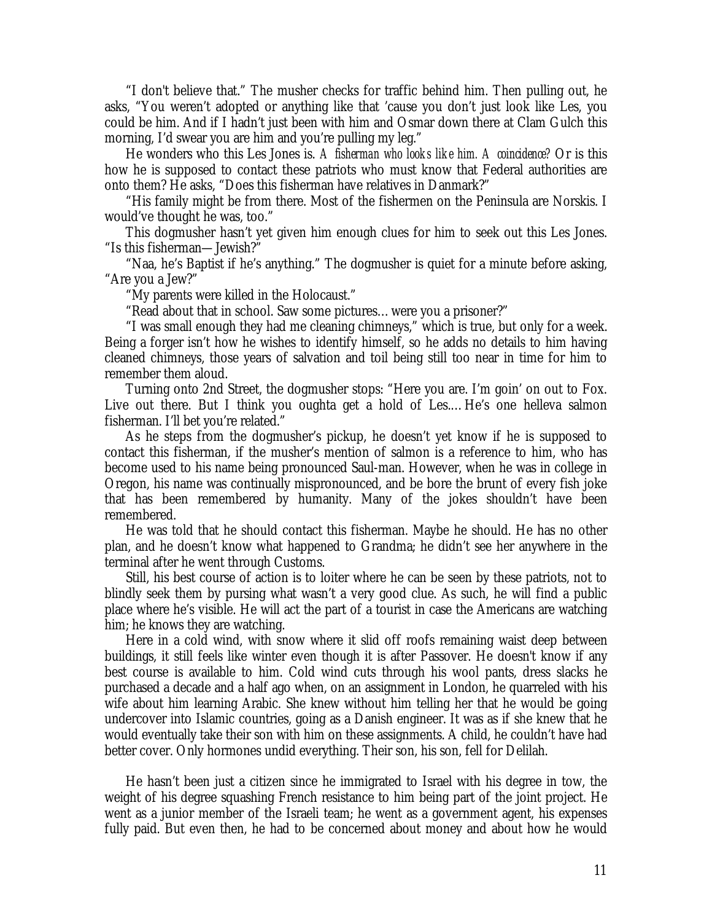"I don't believe that." The musher checks for traffic behind him. Then pulling out, he asks, "You weren't adopted or anything like that 'cause you don't just look like Les, you could be him. And if I hadn't just been with him and Osmar down there at Clam Gulch this morning, I'd swear you are him and you're pulling my leg."

He wonders who this Les Jones is. *A fisherman who looks like him. A coincidence?* Or is this how he is supposed to contact these patriots who must know that Federal authorities are onto them? He asks, "Does this fisherman have relatives in Danmark?"

"His family might be from there. Most of the fishermen on the Peninsula are Norskis. I would've thought he was, too."

This dogmusher hasn't yet given him enough clues for him to seek out this Les Jones. "Is this fisherman— Jewish?"

"Naa, he's Baptist if he's anything." The dogmusher is quiet for a minute before asking, "Are you a Jew?"

"My parents were killed in the Holocaust."

"Read about that in school. Saw some pictures… were you a prisoner?"

"I was small enough they had me cleaning chimneys," which is true, but only for a week. Being a forger isn't how he wishes to identify himself, so he adds no details to him having cleaned chimneys, those years of salvation and toil being still too near in time for him to remember them aloud.

Turning onto 2nd Street, the dogmusher stops: "Here you are. I'm goin' on out to Fox. Live out there. But I think you oughta get a hold of Les.... He's one helleva salmon fisherman. I'll bet you're related."

As he steps from the dogmusher's pickup, he doesn't yet know if he is supposed to contact this fisherman, if the musher's mention of salmon is a reference to him, who has become used to his name being pronounced Saul-man. However, when he was in college in Oregon, his name was continually mispronounced, and be bore the brunt of every fish joke that has been remembered by humanity. Many of the jokes shouldn't have been remembered.

He was told that he should contact this fisherman. Maybe he should. He has no other plan, and he doesn't know what happened to Grandma; he didn't see her anywhere in the terminal after he went through Customs.

Still, his best course of action is to loiter where he can be seen by these patriots, not to blindly seek them by pursing what wasn't a very good clue. As such, he will find a public place where he's visible. He will act the part of a tourist in case the Americans are watching him; he knows they are watching.

Here in a cold wind, with snow where it slid off roofs remaining waist deep between buildings, it still feels like winter even though it is after Passover. He doesn't know if any best course is available to him. Cold wind cuts through his wool pants, dress slacks he purchased a decade and a half ago when, on an assignment in London, he quarreled with his wife about him learning Arabic. She knew without him telling her that he would be going undercover into Islamic countries, going as a Danish engineer. It was as if she knew that he would eventually take their son with him on these assignments. A child, he couldn't have had better cover. Only hormones undid everything. Their son, his son, fell for Delilah.

He hasn't been just a citizen since he immigrated to Israel with his degree in tow, the weight of his degree squashing French resistance to him being part of the joint project. He went as a junior member of the Israeli team; he went as a government agent, his expenses fully paid. But even then, he had to be concerned about money and about how he would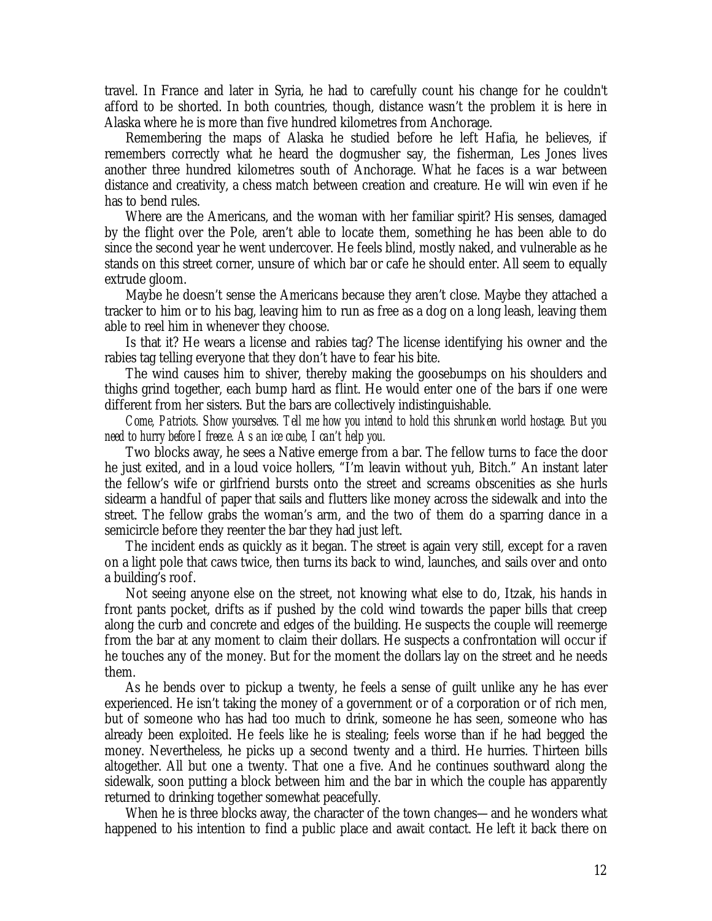travel. In France and later in Syria, he had to carefully count his change for he couldn't afford to be shorted. In both countries, though, distance wasn't the problem it is here in Alaska where he is more than five hundred kilometres from Anchorage.

Remembering the maps of Alaska he studied before he left Hafia, he believes, if remembers correctly what he heard the dogmusher say, the fisherman, Les Jones lives another three hundred kilometres south of Anchorage. What he faces is a war between distance and creativity, a chess match between creation and creature. He will win even if he has to bend rules.

Where are the Americans, and the woman with her familiar spirit? His senses, damaged by the flight over the Pole, aren't able to locate them, something he has been able to do since the second year he went undercover. He feels blind, mostly naked, and vulnerable as he stands on this street corner, unsure of which bar or cafe he should enter. All seem to equally extrude gloom.

Maybe he doesn't sense the Americans because they aren't close. Maybe they attached a tracker to him or to his bag, leaving him to run as free as a dog on a long leash, leaving them able to reel him in whenever they choose.

Is that it? He wears a license and rabies tag? The license identifying his owner and the rabies tag telling everyone that they don't have to fear his bite.

The wind causes him to shiver, thereby making the goosebumps on his shoulders and thighs grind together, each bump hard as flint. He would enter one of the bars if one were different from her sisters. But the bars are collectively indistinguishable.

*Come, Patriots. Show yourselves. Tell me how you intend to hold this shrunken world hostage. But you need to hurry before I freeze. As an ice cube, I can't help you.*

Two blocks away, he sees a Native emerge from a bar. The fellow turns to face the door he just exited, and in a loud voice hollers, "I'm leavin without yuh, Bitch." An instant later the fellow's wife or girlfriend bursts onto the street and screams obscenities as she hurls sidearm a handful of paper that sails and flutters like money across the sidewalk and into the street. The fellow grabs the woman's arm, and the two of them do a sparring dance in a semicircle before they reenter the bar they had just left.

The incident ends as quickly as it began. The street is again very still, except for a raven on a light pole that caws twice, then turns its back to wind, launches, and sails over and onto a building's roof.

Not seeing anyone else on the street, not knowing what else to do, Itzak, his hands in front pants pocket, drifts as if pushed by the cold wind towards the paper bills that creep along the curb and concrete and edges of the building. He suspects the couple will reemerge from the bar at any moment to claim their dollars. He suspects a confrontation will occur if he touches any of the money. But for the moment the dollars lay on the street and he needs them.

As he bends over to pickup a twenty, he feels a sense of guilt unlike any he has ever experienced. He isn't taking the money of a government or of a corporation or of rich men, but of someone who has had too much to drink, someone he has seen, someone who has already been exploited. He feels like he is stealing; feels worse than if he had begged the money. Nevertheless, he picks up a second twenty and a third. He hurries. Thirteen bills altogether. All but one a twenty. That one a five. And he continues southward along the sidewalk, soon putting a block between him and the bar in which the couple has apparently returned to drinking together somewhat peacefully.

When he is three blocks away, the character of the town changes— and he wonders what happened to his intention to find a public place and await contact. He left it back there on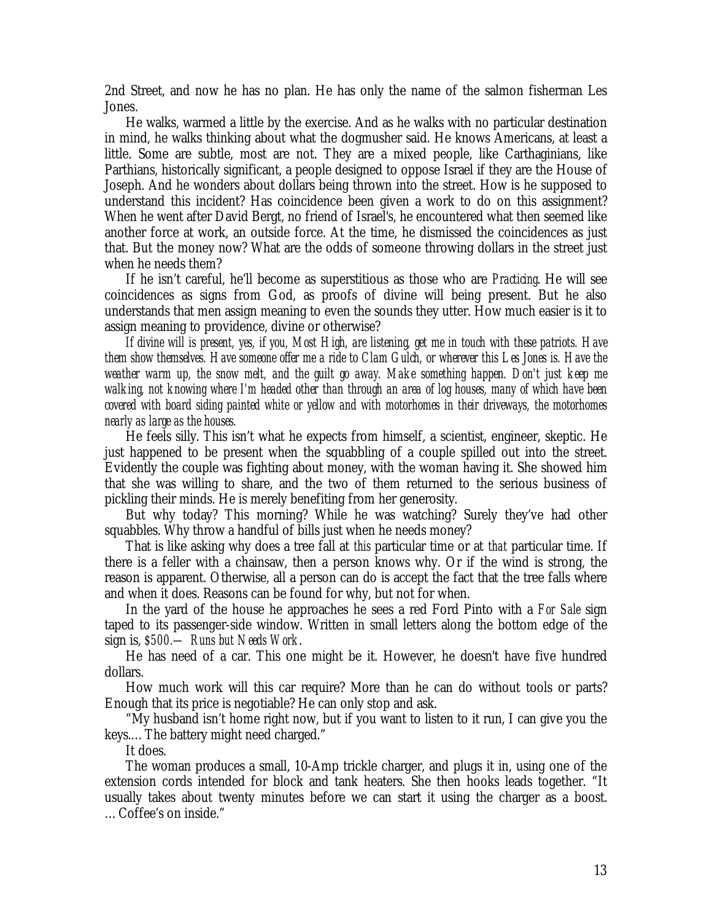2nd Street, and now he has no plan. He has only the name of the salmon fisherman Les Jones.

He walks, warmed a little by the exercise. And as he walks with no particular destination in mind, he walks thinking about what the dogmusher said. He knows Americans, at least a little. Some are subtle, most are not. They are a mixed people, like Carthaginians, like Parthians, historically significant, a people designed to oppose Israel if they are the House of Joseph. And he wonders about dollars being thrown into the street. How is he supposed to understand this incident? Has coincidence been given a work to do on this assignment? When he went after David Bergt, no friend of Israel's, he encountered what then seemed like another force at work, an outside force. At the time, he dismissed the coincidences as just that. But the money now? What are the odds of someone throwing dollars in the street just when he needs them?

If he isn't careful, he'll become as superstitious as those who are *Practicing*. He will see coincidences as signs from God, as proofs of divine will being present. But he also understands that men assign meaning to even the sounds they utter. How much easier is it to assign meaning to providence, divine or otherwise?

*If divine will is present, yes, if you, Most High, are listening, get me in touch with these patriots. Have them show themselves. Have someone offer me a ride to Clam Gulch, or wherever this Les Jones is. Have the weather warm up, the snow melt, and the guilt go away. Make something happen. Don't just keep me walking, not knowing where I'm headed other than through an area of log houses, many of which have been covered with board siding painted white or yellow and with motorhomes in their driveways, the motorhomes nearly as large as the houses.*

He feels silly. This isn't what he expects from himself, a scientist, engineer, skeptic. He just happened to be present when the squabbling of a couple spilled out into the street. Evidently the couple was fighting about money, with the woman having it. She showed him that she was willing to share, and the two of them returned to the serious business of pickling their minds. He is merely benefiting from her generosity.

But why today? This morning? While he was watching? Surely they've had other squabbles. Why throw a handful of bills just when he needs money?

That is like asking why does a tree fall at *this* particular time or at *that* particular time. If there is a feller with a chainsaw, then a person knows why. Or if the wind is strong, the reason is apparent. Otherwise, all a person can do is accept the fact that the tree falls where and when it does. Reasons can be found for why, but not for when.

In the yard of the house he approaches he sees a red Ford Pinto with a *For Sale* sign taped to its passenger-side window. Written in small letters along the bottom edge of the sign is, *\$500.— Runs but Needs Work*.

He has need of a car. This one might be it. However, he doesn't have five hundred dollars.

How much work will this car require? More than he can do without tools or parts? Enough that its price is negotiable? He can only stop and ask.

"My husband isn't home right now, but if you want to listen to it run, I can give you the keys.… The battery might need charged."

It does.

The woman produces a small, 10-Amp trickle charger, and plugs it in, using one of the extension cords intended for block and tank heaters. She then hooks leads together. "It usually takes about twenty minutes before we can start it using the charger as a boost. … Coffee's on inside."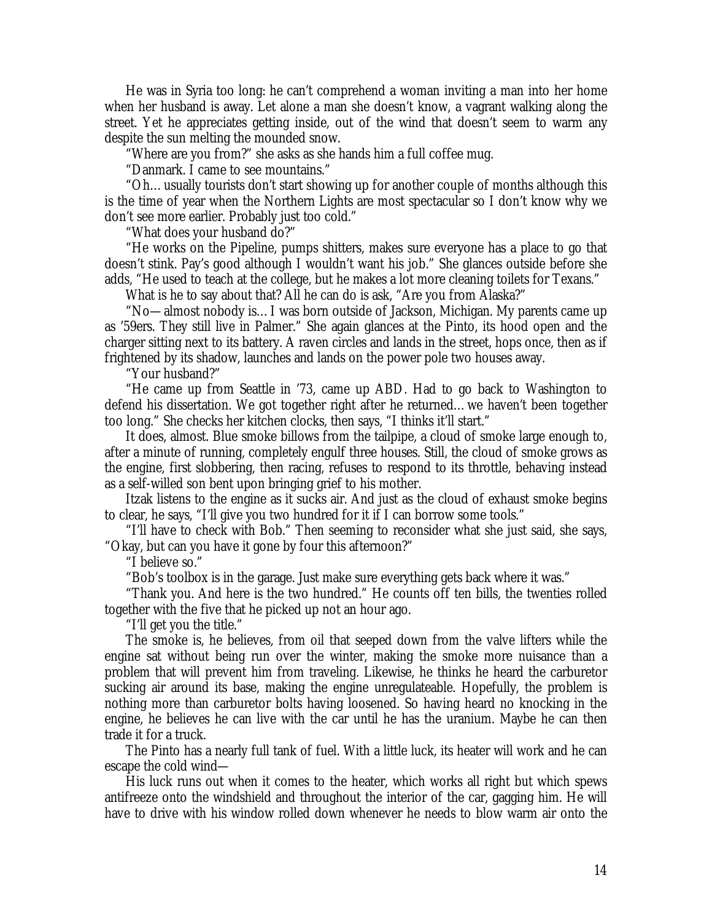He was in Syria too long: he can't comprehend a woman inviting a man into her home when her husband is away. Let alone a man she doesn't know, a vagrant walking along the street. Yet he appreciates getting inside, out of the wind that doesn't seem to warm any despite the sun melting the mounded snow.

"Where are you from?" she asks as she hands him a full coffee mug.

"Danmark. I came to see mountains."

"Oh… usually tourists don't start showing up for another couple of months although this is the time of year when the Northern Lights are most spectacular so I don't know why we don't see more earlier. Probably just too cold."

"What does your husband do?"

"He works on the Pipeline, pumps shitters, makes sure everyone has a place to go that doesn't stink. Pay's good although I wouldn't want his job." She glances outside before she adds, "He used to teach at the college, but he makes a lot more cleaning toilets for Texans."

What is he to say about that? All he can do is ask, "Are you from Alaska?"

"No— almost nobody is… I was born outside of Jackson, Michigan. My parents came up as '59ers. They still live in Palmer." She again glances at the Pinto, its hood open and the charger sitting next to its battery. A raven circles and lands in the street, hops once, then as if frightened by its shadow, launches and lands on the power pole two houses away.

"Your husband?"

"He came up from Seattle in '73, came up ABD. Had to go back to Washington to defend his dissertation. We got together right after he returned… we haven't been together too long." She checks her kitchen clocks, then says, "I thinks it'll start."

It does, almost. Blue smoke billows from the tailpipe, a cloud of smoke large enough to, after a minute of running, completely engulf three houses. Still, the cloud of smoke grows as the engine, first slobbering, then racing, refuses to respond to its throttle, behaving instead as a self-willed son bent upon bringing grief to his mother.

Itzak listens to the engine as it sucks air. And just as the cloud of exhaust smoke begins to clear, he says, "I'll give you two hundred for it if I can borrow some tools."

"I'll have to check with Bob." Then seeming to reconsider what she just said, she says, "Okay, but can you have it gone by four this afternoon?"

"I believe so."

"Bob's toolbox is in the garage. Just make sure everything gets back where it was."

"Thank you. And here is the two hundred." He counts off ten bills, the twenties rolled together with the five that he picked up not an hour ago.

"I'll get you the title."

The smoke is, he believes, from oil that seeped down from the valve lifters while the engine sat without being run over the winter, making the smoke more nuisance than a problem that will prevent him from traveling. Likewise, he thinks he heard the carburetor sucking air around its base, making the engine unregulateable. Hopefully, the problem is nothing more than carburetor bolts having loosened. So having heard no knocking in the engine, he believes he can live with the car until he has the uranium. Maybe he can then trade it for a truck.

The Pinto has a nearly full tank of fuel. With a little luck, its heater will work and he can escape the cold wind—

His luck runs out when it comes to the heater, which works all right but which spews antifreeze onto the windshield and throughout the interior of the car, gagging him. He will have to drive with his window rolled down whenever he needs to blow warm air onto the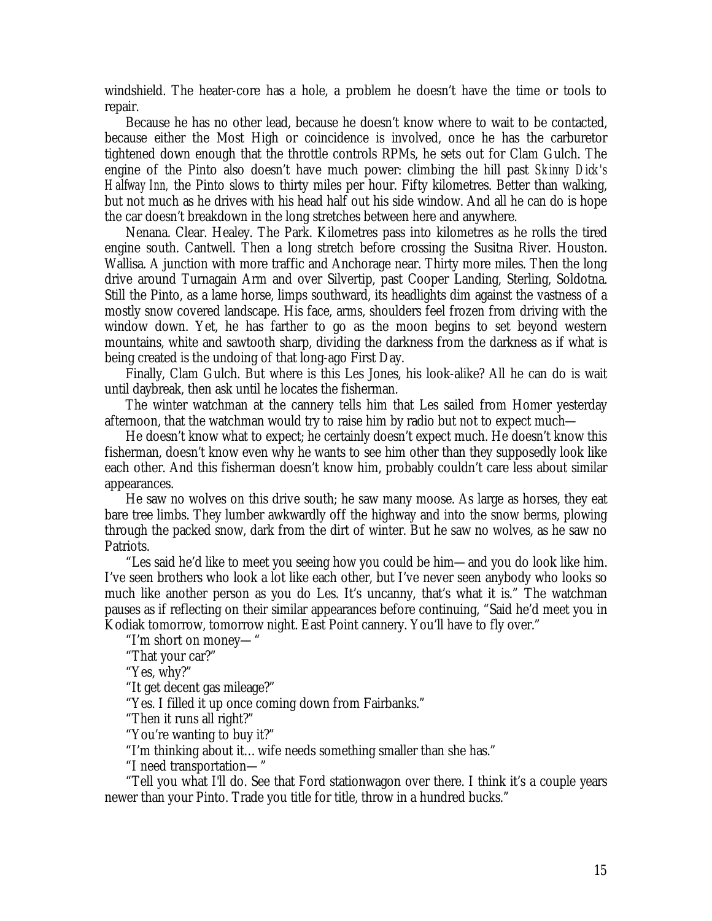windshield. The heater-core has a hole, a problem he doesn't have the time or tools to repair.

Because he has no other lead, because he doesn't know where to wait to be contacted, because either the Most High or coincidence is involved, once he has the carburetor tightened down enough that the throttle controls RPMs, he sets out for Clam Gulch. The engine of the Pinto also doesn't have much power: climbing the hill past *Skinny Dick's Halfway Inn,* the Pinto slows to thirty miles per hour. Fifty kilometres. Better than walking, but not much as he drives with his head half out his side window. And all he can do is hope the car doesn't breakdown in the long stretches between here and anywhere.

Nenana. Clear. Healey. The Park. Kilometres pass into kilometres as he rolls the tired engine south. Cantwell. Then a long stretch before crossing the Susitna River. Houston. Wallisa. A junction with more traffic and Anchorage near. Thirty more miles. Then the long drive around Turnagain Arm and over Silvertip, past Cooper Landing, Sterling, Soldotna. Still the Pinto, as a lame horse, limps southward, its headlights dim against the vastness of a mostly snow covered landscape. His face, arms, shoulders feel frozen from driving with the window down. Yet, he has farther to go as the moon begins to set beyond western mountains, white and sawtooth sharp, dividing the darkness from the darkness as if what is being created is the undoing of that long-ago First Day.

Finally, Clam Gulch. But where is this Les Jones, his look-alike? All he can do is wait until daybreak, then ask until he locates the fisherman.

The winter watchman at the cannery tells him that Les sailed from Homer yesterday afternoon, that the watchman would try to raise him by radio but not to expect much—

He doesn't know what to expect; he certainly doesn't expect much. He doesn't know this fisherman, doesn't know even why he wants to see him other than they supposedly look like each other. And this fisherman doesn't know him, probably couldn't care less about similar appearances.

He saw no wolves on this drive south; he saw many moose. As large as horses, they eat bare tree limbs. They lumber awkwardly off the highway and into the snow berms, plowing through the packed snow, dark from the dirt of winter. But he saw no wolves, as he saw no Patriots.

"Les said he'd like to meet you seeing how you could be him— and you do look like him. I've seen brothers who look a lot like each other, but I've never seen anybody who looks so much like another person as you do Les. It's uncanny, that's what it is." The watchman pauses as if reflecting on their similar appearances before continuing, "Said he'd meet you in Kodiak tomorrow, tomorrow night. East Point cannery. You'll have to fly over."

"I'm short on money— "

"That your car?"

"Yes, why?"

"It get decent gas mileage?"

"Yes. I filled it up once coming down from Fairbanks."

"Then it runs all right?"

"You're wanting to buy it?"

"I'm thinking about it… wife needs something smaller than she has."

"I need transportation— "

"Tell you what I'll do. See that Ford stationwagon over there. I think it's a couple years newer than your Pinto. Trade you title for title, throw in a hundred bucks."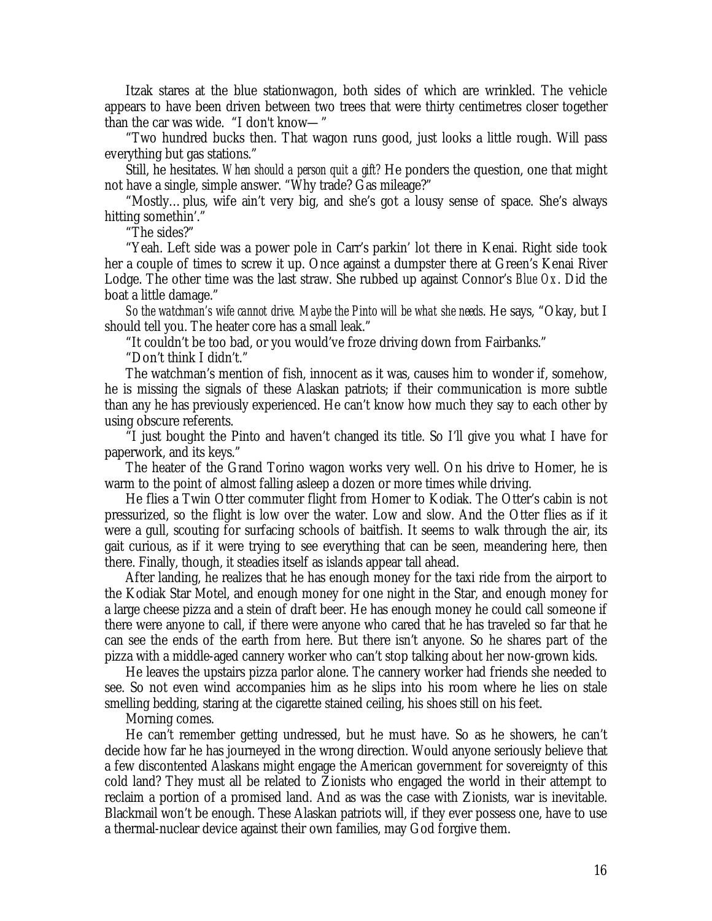Itzak stares at the blue stationwagon, both sides of which are wrinkled. The vehicle appears to have been driven between two trees that were thirty centimetres closer together than the car was wide. "I don't know— "

"Two hundred bucks then. That wagon runs good, just looks a little rough. Will pass everything but gas stations."

Still, he hesitates. *When should a person quit a gift?* He ponders the question, one that might not have a single, simple answer. "Why trade? Gas mileage?"

"Mostly… plus, wife ain't very big, and she's got a lousy sense of space. She's always hitting somethin'."

"The sides?"

"Yeah. Left side was a power pole in Carr's parkin' lot there in Kenai. Right side took her a couple of times to screw it up. Once against a dumpster there at Green's Kenai River Lodge. The other time was the last straw. She rubbed up against Connor's *Blue Ox*. Did the boat a little damage."

*So the watchman's wife cannot drive. Maybe the Pinto will be what she needs*. He says, "Okay, but I should tell you. The heater core has a small leak."

"It couldn't be too bad, or you would've froze driving down from Fairbanks."

"Don't think I didn't."

The watchman's mention of fish, innocent as it was, causes him to wonder if, somehow, he is missing the signals of these Alaskan patriots; if their communication is more subtle than any he has previously experienced. He can't know how much they say to each other by using obscure referents.

"I just bought the Pinto and haven't changed its title. So I'll give you what I have for paperwork, and its keys."

The heater of the Grand Torino wagon works very well. On his drive to Homer, he is warm to the point of almost falling asleep a dozen or more times while driving.

He flies a Twin Otter commuter flight from Homer to Kodiak. The Otter's cabin is not pressurized, so the flight is low over the water. Low and slow. And the Otter flies as if it were a gull, scouting for surfacing schools of baitfish. It seems to walk through the air, its gait curious, as if it were trying to see everything that can be seen, meandering here, then there. Finally, though, it steadies itself as islands appear tall ahead.

After landing, he realizes that he has enough money for the taxi ride from the airport to the Kodiak Star Motel, and enough money for one night in the Star, and enough money for a large cheese pizza and a stein of draft beer. He has enough money he could call someone if there were anyone to call, if there were anyone who cared that he has traveled so far that he can see the ends of the earth from here. But there isn't anyone. So he shares part of the pizza with a middle-aged cannery worker who can't stop talking about her now-grown kids.

He leaves the upstairs pizza parlor alone. The cannery worker had friends she needed to see. So not even wind accompanies him as he slips into his room where he lies on stale smelling bedding, staring at the cigarette stained ceiling, his shoes still on his feet.

Morning comes.

He can't remember getting undressed, but he must have. So as he showers, he can't decide how far he has journeyed in the wrong direction. Would anyone seriously believe that a few discontented Alaskans might engage the American government for sovereignty of this cold land? They must all be related to Zionists who engaged the world in their attempt to reclaim a portion of a promised land. And as was the case with Zionists, war is inevitable. Blackmail won't be enough. These Alaskan patriots will, if they ever possess one, have to use a thermal-nuclear device against their own families, may God forgive them.